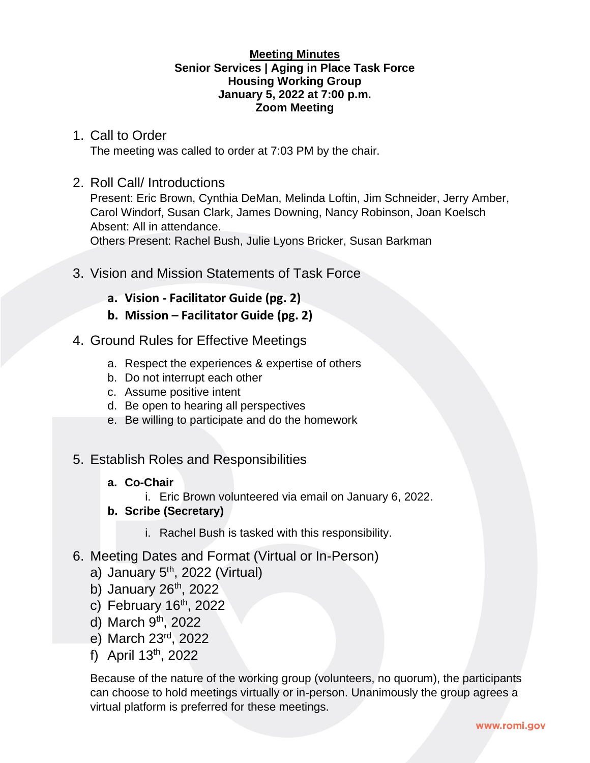#### **Meeting Minutes Senior Services | Aging in Place Task Force Housing Working Group January 5, 2022 at 7:00 p.m. Zoom Meeting**

### 1. Call to Order

The meeting was called to order at 7:03 PM by the chair.

## 2. Roll Call/ Introductions

Present: Eric Brown, Cynthia DeMan, Melinda Loftin, Jim Schneider, Jerry Amber, Carol Windorf, Susan Clark, James Downing, Nancy Robinson, Joan Koelsch Absent: All in attendance.

Others Present: Rachel Bush, Julie Lyons Bricker, Susan Barkman

## 3. Vision and Mission Statements of Task Force

- **a. Vision - Facilitator Guide (pg. 2)**
- **b. Mission – Facilitator Guide (pg. 2)**
- 4. Ground Rules for Effective Meetings
	- a. Respect the experiences & expertise of others
	- b. Do not interrupt each other
	- c. Assume positive intent
	- d. Be open to hearing all perspectives
	- e. Be willing to participate and do the homework

# 5. Establish Roles and Responsibilities

- **a. Co-Chair**
	- i. Eric Brown volunteered via email on January 6, 2022.

### **b. Scribe (Secretary)**

- i. Rachel Bush is tasked with this responsibility.
- 6. Meeting Dates and Format (Virtual or In-Person)
	- a) January  $5<sup>th</sup>$ , 2022 (Virtual)
	- b) January 26<sup>th</sup>, 2022
	- c) February  $16<sup>th</sup>$ , 2022
	- d) March 9th, 2022
	- e) March 23rd, 2022
	- f) April  $13^{th}$ , 2022

Because of the nature of the working group (volunteers, no quorum), the participants can choose to hold meetings virtually or in-person. Unanimously the group agrees a virtual platform is preferred for these meetings.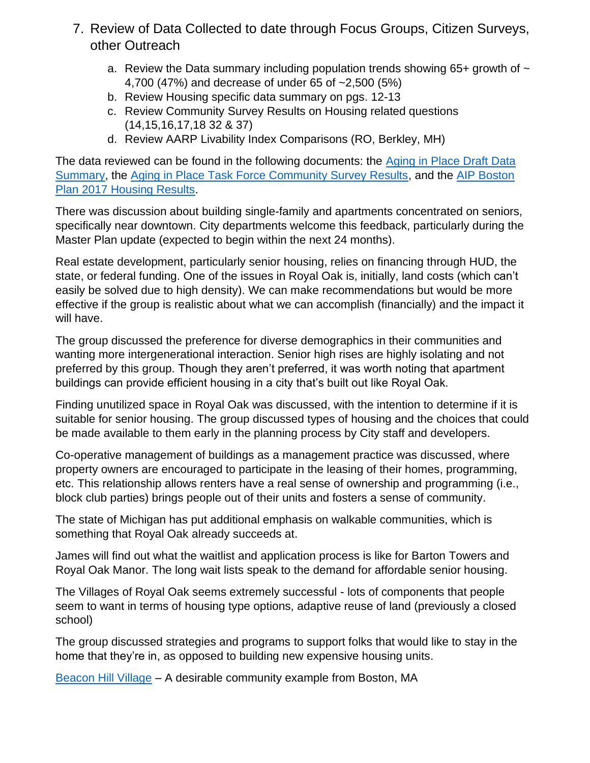- 7. Review of Data Collected to date through Focus Groups, Citizen Surveys, other Outreach
	- a. Review the Data summary including population trends showing  $65+$  growth of  $\sim$ 4,700 (47%) and decrease of under 65 of ~2,500 (5%)
	- b. Review Housing specific data summary on pgs. 12-13
	- c. Review Community Survey Results on Housing related questions (14,15,16,17,18 32 & 37)
	- d. Review AARP Livability Index Comparisons (RO, Berkley, MH)

The data reviewed can be found in the following documents: the [Aging in Place Draft Data](https://www.romi.gov/DocumentCenter/View/31840/Aging-in-Place-Draft-Data-Summary-Data-Summary-Dec2021)  [Summary,](https://www.romi.gov/DocumentCenter/View/31840/Aging-in-Place-Draft-Data-Summary-Data-Summary-Dec2021) the [Aging in Place Task Force Community Survey Results,](Aging%20in%20Place%20Task%20Force%20Royal%20Oak%20Age%20Friendly%20Community%20Survey%20Results%20Dec2021.pdf) and the [AIP Boston](https://www.romi.gov/DocumentCenter/View/31839/RO-AIP-Boston-Plan-2017-Housing-Results)  [Plan 2017 Housing Results.](https://www.romi.gov/DocumentCenter/View/31839/RO-AIP-Boston-Plan-2017-Housing-Results)

There was discussion about building single-family and apartments concentrated on seniors, specifically near downtown. City departments welcome this feedback, particularly during the Master Plan update (expected to begin within the next 24 months).

Real estate development, particularly senior housing, relies on financing through HUD, the state, or federal funding. One of the issues in Royal Oak is, initially, land costs (which can't easily be solved due to high density). We can make recommendations but would be more effective if the group is realistic about what we can accomplish (financially) and the impact it will have.

The group discussed the preference for diverse demographics in their communities and wanting more intergenerational interaction. Senior high rises are highly isolating and not preferred by this group. Though they aren't preferred, it was worth noting that apartment buildings can provide efficient housing in a city that's built out like Royal Oak.

Finding unutilized space in Royal Oak was discussed, with the intention to determine if it is suitable for senior housing. The group discussed types of housing and the choices that could be made available to them early in the planning process by City staff and developers.

Co-operative management of buildings as a management practice was discussed, where property owners are encouraged to participate in the leasing of their homes, programming, etc. This relationship allows renters have a real sense of ownership and programming (i.e., block club parties) brings people out of their units and fosters a sense of community.

The state of Michigan has put additional emphasis on walkable communities, which is something that Royal Oak already succeeds at.

James will find out what the waitlist and application process is like for Barton Towers and Royal Oak Manor. The long wait lists speak to the demand for affordable senior housing.

The Villages of Royal Oak seems extremely successful - lots of components that people seem to want in terms of housing type options, adaptive reuse of land (previously a closed school)

The group discussed strategies and programs to support folks that would like to stay in the home that they're in, as opposed to building new expensive housing units.

[Beacon Hill Village](https://www.beaconhillvillage.org/) – A desirable community example from Boston, MA